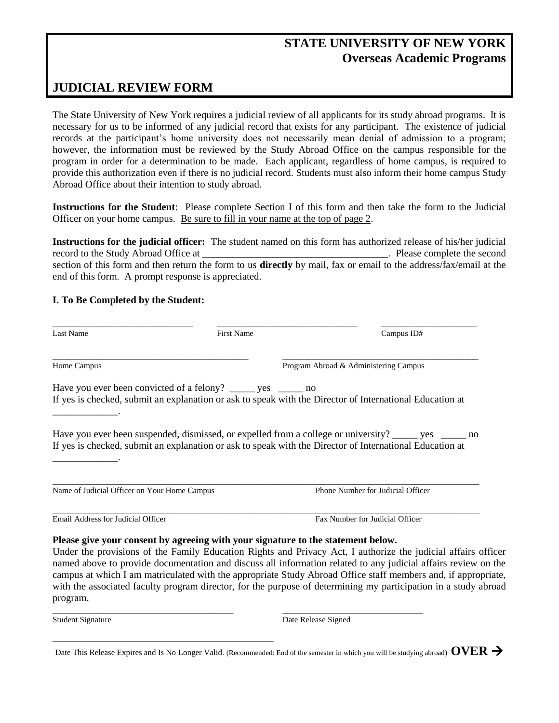## **STATE UNIVERSITY OF NEW YORK Overseas Academic Programs**

## **JUDICIAL REVIEW FORM**

The State University of New York requires a judicial review of all applicants for its study abroad programs. It is necessary for us to be informed of any judicial record that exists for any participant. The existence of judicial records at the participant's home university does not necessarily mean denial of admission to a program; however, the information must be reviewed by the Study Abroad Office on the campus responsible for the program in order for a determination to be made. Each applicant, regardless of home campus, is required to provide this authorization even if there is no judicial record. Students must also inform their home campus Study Abroad Office about their intention to study abroad.

**Instructions for the Student**: Please complete Section I of this form and then take the form to the Judicial Officer on your home campus. Be sure to fill in your name at the top of page 2.

**Instructions for the judicial officer:** The student named on this form has authorized release of his/her judicial record to the Study Abroad Office at  $\qquad \qquad$  Please complete the second section of this form and then return the form to us **directly** by mail, fax or email to the address/fax/email at the end of this form. A prompt response is appreciated.

## **I. To Be Completed by the Student:**

| Last Name                                    | <b>First Name</b>                                                                | Campus ID#                                                                                                                                                                                                                      |
|----------------------------------------------|----------------------------------------------------------------------------------|---------------------------------------------------------------------------------------------------------------------------------------------------------------------------------------------------------------------------------|
| Home Campus                                  |                                                                                  | Program Abroad & Administering Campus                                                                                                                                                                                           |
|                                              | Have you ever been convicted of a felony? _______ yes _______ no                 |                                                                                                                                                                                                                                 |
|                                              |                                                                                  | If yes is checked, submit an explanation or ask to speak with the Director of International Education at                                                                                                                        |
|                                              |                                                                                  |                                                                                                                                                                                                                                 |
|                                              |                                                                                  | Have you ever been suspended, dismissed, or expelled from a college or university? _____ yes _____ no<br>If yes is checked, submit an explanation or ask to speak with the Director of International Education at               |
|                                              |                                                                                  |                                                                                                                                                                                                                                 |
|                                              |                                                                                  |                                                                                                                                                                                                                                 |
| Name of Judicial Officer on Your Home Campus |                                                                                  | Phone Number for Judicial Officer                                                                                                                                                                                               |
|                                              |                                                                                  |                                                                                                                                                                                                                                 |
| Email Address for Judicial Officer           |                                                                                  | Fax Number for Judicial Officer                                                                                                                                                                                                 |
|                                              | Please give your consent by agreeing with your signature to the statement below. |                                                                                                                                                                                                                                 |
|                                              |                                                                                  | Under the provisions of the Family Education Rights and Privacy Act, I authorize the judicial affairs officer                                                                                                                   |
|                                              |                                                                                  |                                                                                                                                                                                                                                 |
|                                              |                                                                                  | named above to provide documentation and discuss all information related to any judicial affairs review on the<br>campus at which I am matriculated with the appropriate Study Abroad Office staff members and, if appropriate, |

program.

Student Signature Date Release Signed

\_\_\_\_\_\_\_\_\_\_\_\_\_\_\_\_\_\_\_\_\_\_\_\_\_\_\_\_\_\_\_\_\_\_\_\_ \_\_\_\_\_\_\_\_\_\_\_\_\_\_\_\_\_\_\_\_\_\_\_\_\_\_\_\_

\_\_\_\_\_\_\_\_\_\_\_\_\_\_\_\_\_\_\_\_\_\_\_\_\_\_\_\_\_\_\_\_\_\_\_\_\_\_\_\_\_\_\_\_

Date This Release Expires and Is No Longer Valid. (Recommended: End of the semester in which you will be studying abroad) **OVER**